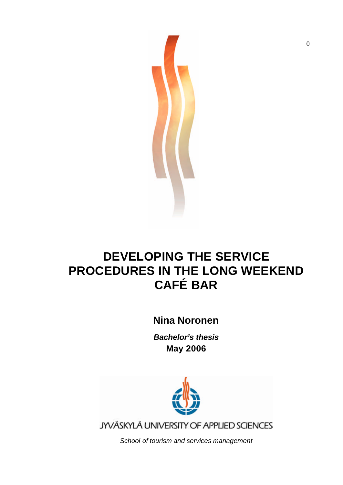

## **DEVELOPING THE SERVICE PROCEDURES IN THE LONG WEEKEND CAFÉ BAR**

## **Nina Noronen**

*Bachelor's thesis* **May 2006**



JYVÄSKYLÄ UNIVERSITY OF APPLIED SCIENCES

*School of tourism and services management*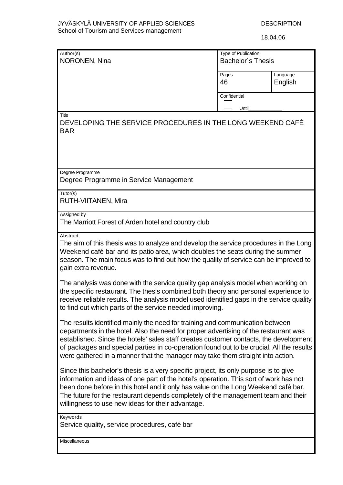18.04.06

| Author(s)<br>NORONEN, Nina                                                                                                                                                                                                                                                                                                                                                                                                                   | <b>Type of Publication</b><br><b>Bachelor's Thesis</b> |                     |
|----------------------------------------------------------------------------------------------------------------------------------------------------------------------------------------------------------------------------------------------------------------------------------------------------------------------------------------------------------------------------------------------------------------------------------------------|--------------------------------------------------------|---------------------|
|                                                                                                                                                                                                                                                                                                                                                                                                                                              | Pages<br>46                                            | Language<br>English |
|                                                                                                                                                                                                                                                                                                                                                                                                                                              | Confidential<br>Until                                  |                     |
| Title<br>DEVELOPING THE SERVICE PROCEDURES IN THE LONG WEEKEND CAFE<br><b>BAR</b>                                                                                                                                                                                                                                                                                                                                                            |                                                        |                     |
| Degree Programme<br>Degree Programme in Service Management                                                                                                                                                                                                                                                                                                                                                                                   |                                                        |                     |
| $\overline{Tutor(s)}$<br>RUTH-VIITANEN, Mira                                                                                                                                                                                                                                                                                                                                                                                                 |                                                        |                     |
| Assigned by<br>The Marriott Forest of Arden hotel and country club                                                                                                                                                                                                                                                                                                                                                                           |                                                        |                     |
| Abstract<br>The aim of this thesis was to analyze and develop the service procedures in the Long<br>Weekend café bar and its patio area, which doubles the seats during the summer<br>season. The main focus was to find out how the quality of service can be improved to<br>gain extra revenue.                                                                                                                                            |                                                        |                     |
| The analysis was done with the service quality gap analysis model when working on<br>the specific restaurant. The thesis combined both theory and personal experience to<br>receive reliable results. The analysis model used identified gaps in the service quality<br>to find out which parts of the service needed improving.                                                                                                             |                                                        |                     |
| The results identified mainly the need for training and communication between<br>departments in the hotel. Also the need for proper advertising of the restaurant was<br>established. Since the hotels' sales staff creates customer contacts, the development<br>of packages and special parties in co-operation found out to be crucial. All the results<br>were gathered in a manner that the manager may take them straight into action. |                                                        |                     |
| Since this bachelor's thesis is a very specific project, its only purpose is to give<br>information and ideas of one part of the hotel's operation. This sort of work has not<br>been done before in this hotel and it only has value on the Long Weekend café bar.<br>The future for the restaurant depends completely of the management team and their<br>willingness to use new ideas for their advantage.                                |                                                        |                     |
| Keywords<br>Service quality, service procedures, café bar                                                                                                                                                                                                                                                                                                                                                                                    |                                                        |                     |
| Miscellaneous                                                                                                                                                                                                                                                                                                                                                                                                                                |                                                        |                     |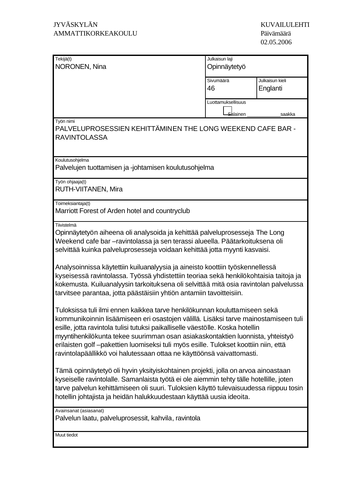| Tekijä(t)                                                                                                                                                                                                                                                                                                                                                                                                                                                                                                                                                                                                                                                                                                                                                                                                                                                                                                                                                                                                                                                                                                                                                                                                                                                                                                                                                                                                                                                      | Julkaisun laji       |                 |  |
|----------------------------------------------------------------------------------------------------------------------------------------------------------------------------------------------------------------------------------------------------------------------------------------------------------------------------------------------------------------------------------------------------------------------------------------------------------------------------------------------------------------------------------------------------------------------------------------------------------------------------------------------------------------------------------------------------------------------------------------------------------------------------------------------------------------------------------------------------------------------------------------------------------------------------------------------------------------------------------------------------------------------------------------------------------------------------------------------------------------------------------------------------------------------------------------------------------------------------------------------------------------------------------------------------------------------------------------------------------------------------------------------------------------------------------------------------------------|----------------------|-----------------|--|
| NORONEN, Nina                                                                                                                                                                                                                                                                                                                                                                                                                                                                                                                                                                                                                                                                                                                                                                                                                                                                                                                                                                                                                                                                                                                                                                                                                                                                                                                                                                                                                                                  | Opinnäytetyö         |                 |  |
|                                                                                                                                                                                                                                                                                                                                                                                                                                                                                                                                                                                                                                                                                                                                                                                                                                                                                                                                                                                                                                                                                                                                                                                                                                                                                                                                                                                                                                                                | Sivumäärä            | Julkaisun kieli |  |
|                                                                                                                                                                                                                                                                                                                                                                                                                                                                                                                                                                                                                                                                                                                                                                                                                                                                                                                                                                                                                                                                                                                                                                                                                                                                                                                                                                                                                                                                | 46                   | Englanti        |  |
|                                                                                                                                                                                                                                                                                                                                                                                                                                                                                                                                                                                                                                                                                                                                                                                                                                                                                                                                                                                                                                                                                                                                                                                                                                                                                                                                                                                                                                                                | Luottamuksellisuus   |                 |  |
|                                                                                                                                                                                                                                                                                                                                                                                                                                                                                                                                                                                                                                                                                                                                                                                                                                                                                                                                                                                                                                                                                                                                                                                                                                                                                                                                                                                                                                                                | <del>Sa</del> lainen | saakka          |  |
| Työn nimi<br>PALVELUPROSESSIEN KEHITTÄMINEN THE LONG WEEKEND CAFE BAR -<br><b>RAVINTOLASSA</b>                                                                                                                                                                                                                                                                                                                                                                                                                                                                                                                                                                                                                                                                                                                                                                                                                                                                                                                                                                                                                                                                                                                                                                                                                                                                                                                                                                 |                      |                 |  |
| Koulutusohjelma<br>Palvelujen tuottamisen ja -johtamisen koulutusohjelma                                                                                                                                                                                                                                                                                                                                                                                                                                                                                                                                                                                                                                                                                                                                                                                                                                                                                                                                                                                                                                                                                                                                                                                                                                                                                                                                                                                       |                      |                 |  |
| Työn ohjaaja(t)<br>RUTH-VIITANEN, Mira                                                                                                                                                                                                                                                                                                                                                                                                                                                                                                                                                                                                                                                                                                                                                                                                                                                                                                                                                                                                                                                                                                                                                                                                                                                                                                                                                                                                                         |                      |                 |  |
| Toimeksiantaja(t)<br>Marriott Forest of Arden hotel and countryclub                                                                                                                                                                                                                                                                                                                                                                                                                                                                                                                                                                                                                                                                                                                                                                                                                                                                                                                                                                                                                                                                                                                                                                                                                                                                                                                                                                                            |                      |                 |  |
| Tiivistelmä<br>Opinnäytetyön aiheena oli analysoida ja kehittää palveluprosesseja The Long<br>Weekend cafe bar -ravintolassa ja sen terassi alueella. Päätarkoituksena oli<br>selvittää kuinka palveluprosesseja voidaan kehittää jotta myynti kasvaisi.<br>Analysoinnissa käytettiin kuiluanalyysia ja aineisto koottiin työskennellessä<br>kyseisessä ravintolassa. Työssä yhdistettiin teoriaa sekä henkilökohtaisia taitoja ja<br>kokemusta. Kuiluanalyysin tarkoituksena oli selvittää mitä osia ravintolan palvelussa<br>tarvitsee parantaa, jotta päästäisiin yhtiön antamiin tavoitteisiin.<br>Tuloksissa tuli ilmi ennen kaikkea tarve henkilökunnan kouluttamiseen sekä<br>kommunikoinnin lisäämiseen eri osastojen välillä. Lisäksi tarve mainostamiseen tuli<br>esille, jotta ravintola tulisi tutuksi paikalliselle väestölle. Koska hotellin<br>myyntihenkilökunta tekee suurimman osan asiakaskontaktien luonnista, yhteistyö<br>erilaisten golf-pakettien luomiseksi tuli myös esille. Tulokset koottiin niin, että<br>ravintolapäällikkö voi halutessaan ottaa ne käyttöönsä vaivattomasti.<br>Tämä opinnäytetyö oli hyvin yksityiskohtainen projekti, jolla on arvoa ainoastaan<br>kyseiselle ravintolalle. Samanlaista työtä ei ole aiemmin tehty tälle hotellille, joten<br>tarve palvelun kehittämiseen oli suuri. Tuloksien käyttö tulevaisuudessa riippuu tosin<br>hotellin johtajista ja heidän halukkuudestaan käyttää uusia ideoita. |                      |                 |  |
| Avainsanat (asiasanat)<br>Palvelun laatu, palveluprosessit, kahvila, ravintola                                                                                                                                                                                                                                                                                                                                                                                                                                                                                                                                                                                                                                                                                                                                                                                                                                                                                                                                                                                                                                                                                                                                                                                                                                                                                                                                                                                 |                      |                 |  |
| Muut tiedot                                                                                                                                                                                                                                                                                                                                                                                                                                                                                                                                                                                                                                                                                                                                                                                                                                                                                                                                                                                                                                                                                                                                                                                                                                                                                                                                                                                                                                                    |                      |                 |  |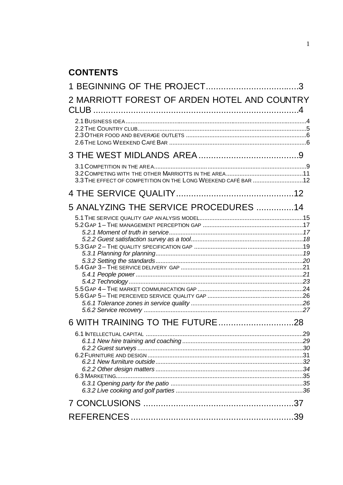## **CONTENTS**

| 2 MARRIOTT FOREST OF ARDEN HOTEL AND COUNTRY                  |  |
|---------------------------------------------------------------|--|
|                                                               |  |
|                                                               |  |
| 3.3 THE EFFECT OF COMPETITION ON THE LONG WEEKEND CAFÉ BAR 12 |  |
|                                                               |  |
| 5 ANALYZING THE SERVICE PROCEDURES 14                         |  |
|                                                               |  |
|                                                               |  |
|                                                               |  |
|                                                               |  |
|                                                               |  |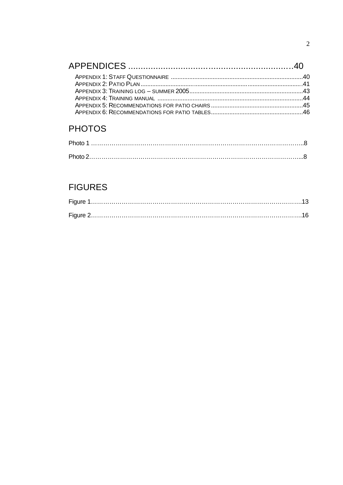## **PHOTOS**

## **FIGURES**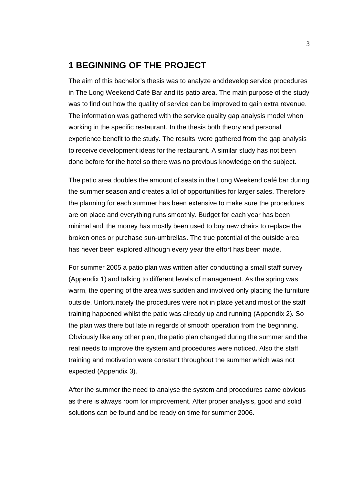## **1 BEGINNING OF THE PROJECT**

The aim of this bachelor's thesis was to analyze and develop service procedures in The Long Weekend Café Bar and its patio area. The main purpose of the study was to find out how the quality of service can be improved to gain extra revenue. The information was gathered with the service quality gap analysis model when working in the specific restaurant. In the thesis both theory and personal experience benefit to the study. The results were gathered from the gap analysis to receive development ideas for the restaurant. A similar study has not been done before for the hotel so there was no previous knowledge on the subject.

The patio area doubles the amount of seats in the Long Weekend café bar during the summer season and creates a lot of opportunities for larger sales. Therefore the planning for each summer has been extensive to make sure the procedures are on place and everything runs smoothly. Budget for each year has been minimal and the money has mostly been used to buy new chairs to replace the broken ones or purchase sun-umbrellas. The true potential of the outside area has never been explored although every year the effort has been made.

For summer 2005 a patio plan was written after conducting a small staff survey (Appendix 1) and talking to different levels of management. As the spring was warm, the opening of the area was sudden and involved only placing the furniture outside. Unfortunately the procedures were not in place yet and most of the staff training happened whilst the patio was already up and running (Appendix 2). So the plan was there but late in regards of smooth operation from the beginning. Obviously like any other plan, the patio plan changed during the summer and the real needs to improve the system and procedures were noticed. Also the staff training and motivation were constant throughout the summer which was not expected (Appendix 3).

After the summer the need to analyse the system and procedures came obvious as there is always room for improvement. After proper analysis, good and solid solutions can be found and be ready on time for summer 2006.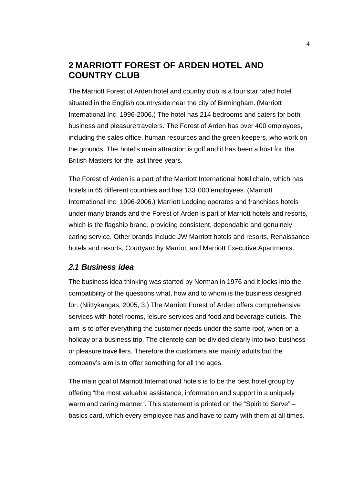## **2 MARRIOTT FOREST OF ARDEN HOTEL AND COUNTRY CLUB**

The Marriott Forest of Arden hotel and country club is a four star rated hotel situated in the English countryside near the city of Birmingham. (Marriott International Inc. 1996-2006.) The hotel has 214 bedrooms and caters for both business and pleasure travelers. The Forest of Arden has over 400 employees, including the sales office, human resources and the green keepers, who work on the grounds. The hotel's main attraction is golf and it has been a host for the British Masters for the last three years.

The Forest of Arden is a part of the Marriott International hotel chain, which has hotels in 65 different countries and has 133 000 employees. (Marriott International Inc. 1996-2006.) Marriott Lodging operates and franchises hotels under many brands and the Forest of Arden is part of Marriott hotels and resorts, which is the flagship brand, providing consistent, dependable and genuinely caring service. Other brands include JW Marriott hotels and resorts, Renaissance hotels and resorts, Courtyard by Marriott and Marriott Executive Apartments.

#### *2.1 Business idea*

The business idea thinking was started by Norman in 1976 and it looks into the compatibility of the questions what, how and to whom is the business designed for. (Niittykangas, 2005, 3.) The Marriott Forest of Arden offers comprehensive services with hotel rooms, leisure services and food and beverage outlets. The aim is to offer everything the customer needs under the same roof, when on a holiday or a business trip. The clientele can be divided clearly into two: business or pleasure trave llers. Therefore the customers are mainly adults but the company's aim is to offer something for all the ages.

The main goal of Marriott International hotels is to be the best hotel group by offering "the most valuable assistance, information and support in a uniquely warm and caring manner". This statement is printed on the "Spirit to Serve" – basics card, which every employee has and have to carry with them at all times.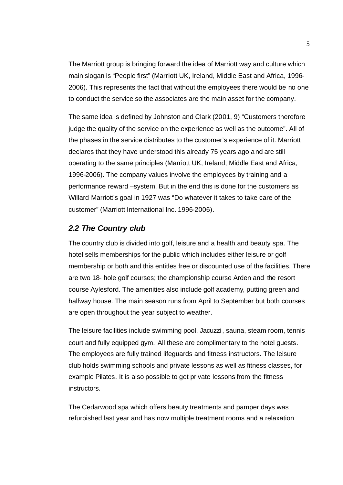The Marriott group is bringing forward the idea of Marriott way and culture which main slogan is "People first" (Marriott UK, Ireland, Middle East and Africa, 1996- 2006). This represents the fact that without the employees there would be no one to conduct the service so the associates are the main asset for the company.

The same idea is defined by Johnston and Clark (2001, 9) "Customers therefore judge the quality of the service on the experience as well as the outcome". All of the phases in the service distributes to the customer's experience of it. Marriott declares that they have understood this already 75 years ago and are still operating to the same principles (Marriott UK, Ireland, Middle East and Africa, 1996-2006). The company values involve the employees by training and a performance reward –system. But in the end this is done for the customers as Willard Marriott's goal in 1927 was "Do whatever it takes to take care of the customer" (Marriott International Inc. 1996-2006).

#### *2.2 The Country club*

The country club is divided into golf, leisure and a health and beauty spa. The hotel sells memberships for the public which includes either leisure or golf membership or both and this entitles free or discounted use of the facilities. There are two 18- hole golf courses; the championship course Arden and the resort course Aylesford. The amenities also include golf academy, putting green and halfway house. The main season runs from April to September but both courses are open throughout the year subject to weather.

The leisure facilities include swimming pool, Jacuzzi, sauna, steam room, tennis court and fully equipped gym. All these are complimentary to the hotel guests. The employees are fully trained lifeguards and fitness instructors. The leisure club holds swimming schools and private lessons as well as fitness classes, for example Pilates. It is also possible to get private lessons from the fitness instructors.

The Cedarwood spa which offers beauty treatments and pamper days was refurbished last year and has now multiple treatment rooms and a relaxation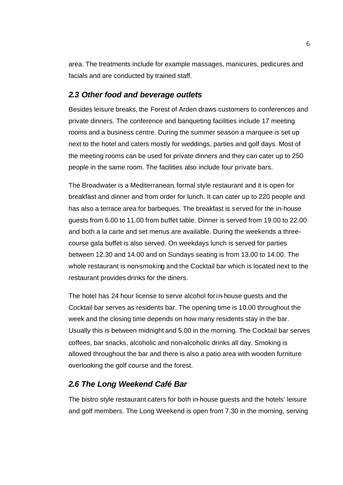area. The treatments include for example massages, manicures, pedicures and facials and are conducted by trained staff.

#### *2.3 Other food and beverage outlets*

Besides leisure breaks, the Forest of Arden draws customers to conferences and private dinners. The conference and banqueting facilities include 17 meeting rooms and a business centre. During the summer season a marquee is set up next to the hotel and caters mostly for weddings, parties and golf days. Most of the meeting rooms can be used for private dinners and they can cater up to 250 people in the same room. The facilities also include four private bars.

The Broadwater is a Mediterranean, formal style restaurant and it is open for breakfast and dinner and from order for lunch. It can cater up to 220 people and has also a terrace area for barbeques. The breakfast is served for the in-house guests from 6.00 to 11.00 from buffet table. Dinner is served from 19.00 to 22.00 and both a la carte and set menus are available. During the weekends a threecourse gala buffet is also served. On weekdays lunch is served for parties between 12.30 and 14.00 and on Sundays seating is from 13.00 to 14.00. The whole restaurant is non-smoking and the Cocktail bar which is located next to the restaurant provides drinks for the diners.

The hotel has 24 hour license to serve alcohol for in-house guests and the Cocktail bar serves as residents bar. The opening time is 10.00 throughout the week and the closing time depends on how many residents stay in the bar. Usually this is between midnight and 5.00 in the morning. The Cocktail bar serves coffees, bar snacks, alcoholic and non-alcoholic drinks all day. Smoking is allowed throughout the bar and there is also a patio area with wooden furniture overlooking the golf course and the forest.

#### *2.6 The Long Weekend Café Bar*

The bistro style restaurant caters for both in-house guests and the hotels' leisure and golf members. The Long Weekend is open from 7.30 in the morning, serving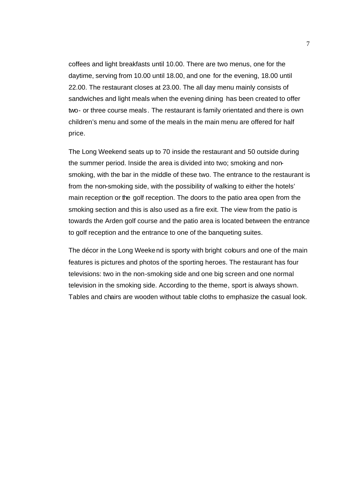coffees and light breakfasts until 10.00. There are two menus, one for the daytime, serving from 10.00 until 18.00, and one for the evening, 18.00 until 22.00. The restaurant closes at 23.00. The all day menu mainly consists of sandwiches and light meals when the evening dining has been created to offer two- or three course meals. The restaurant is family orientated and there is own children's menu and some of the meals in the main menu are offered for half price.

The Long Weekend seats up to 70 inside the restaurant and 50 outside during the summer period. Inside the area is divided into two; smoking and nonsmoking, with the bar in the middle of these two. The entrance to the restaurant is from the non-smoking side, with the possibility of walking to either the hotels' main reception or the golf reception. The doors to the patio area open from the smoking section and this is also used as a fire exit. The view from the patio is towards the Arden golf course and the patio area is located between the entrance to golf reception and the entrance to one of the banqueting suites.

The décor in the Long Weekend is sporty with bright colours and one of the main features is pictures and photos of the sporting heroes. The restaurant has four televisions: two in the non-smoking side and one big screen and one normal television in the smoking side. According to the theme, sport is always shown. Tables and chairs are wooden without table cloths to emphasize the casual look.

7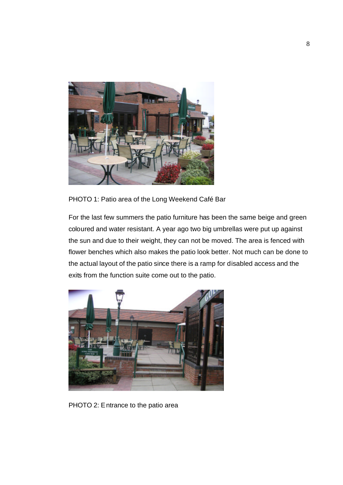

PHOTO 1: Patio area of the Long Weekend Café Bar

For the last few summers the patio furniture has been the same beige and green coloured and water resistant. A year ago two big umbrellas were put up against the sun and due to their weight, they can not be moved. The area is fenced with flower benches which also makes the patio look better. Not much can be done to the actual layout of the patio since there is a ramp for disabled access and the exits from the function suite come out to the patio.



PHOTO 2: Entrance to the patio area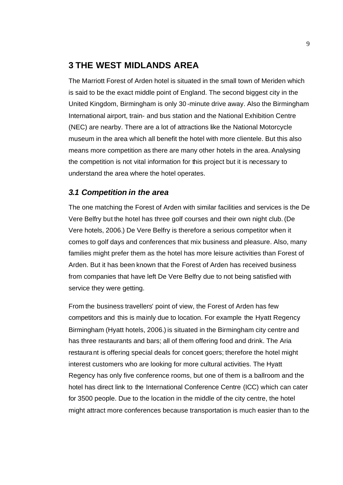#### **3 THE WEST MIDLANDS AREA**

The Marriott Forest of Arden hotel is situated in the small town of Meriden which is said to be the exact middle point of England. The second biggest city in the United Kingdom, Birmingham is only 30 -minute drive away. Also the Birmingham International airport, train- and bus station and the National Exhibition Centre (NEC) are nearby. There are a lot of attractions like the National Motorcycle museum in the area which all benefit the hotel with more clientele. But this also means more competition as there are many other hotels in the area. Analysing the competition is not vital information for this project but it is necessary to understand the area where the hotel operates.

#### *3.1 Competition in the area*

The one matching the Forest of Arden with similar facilities and services is the De Vere Belfry but the hotel has three golf courses and their own night club. (De Vere hotels, 2006.) De Vere Belfry is therefore a serious competitor when it comes to golf days and conferences that mix business and pleasure. Also, many families might prefer them as the hotel has more leisure activities than Forest of Arden. But it has been known that the Forest of Arden has received business from companies that have left De Vere Belfry due to not being satisfied with service they were getting.

From the business travellers' point of view, the Forest of Arden has few competitors and this is mainly due to location. For example the Hyatt Regency Birmingham (Hyatt hotels, 2006.) is situated in the Birmingham city centre and has three restaurants and bars; all of them offering food and drink. The Aria restaurant is offering special deals for concert goers; therefore the hotel might interest customers who are looking for more cultural activities. The Hyatt Regency has only five conference rooms, but one of them is a ballroom and the hotel has direct link to the International Conference Centre (ICC) which can cater for 3500 people. Due to the location in the middle of the city centre, the hotel might attract more conferences because transportation is much easier than to the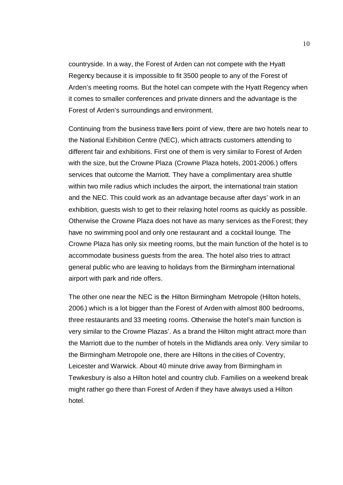countryside. In a way, the Forest of Arden can not compete with the Hyatt Regency because it is impossible to fit 3500 people to any of the Forest of Arden's meeting rooms. But the hotel can compete with the Hyatt Regency when it comes to smaller conferences and private dinners and the advantage is the Forest of Arden's surroundings and environment.

Continuing from the business trave llers point of view, there are two hotels near to the National Exhibition Centre (NEC), which attracts customers attending to different fair and exhibitions. First one of them is very similar to Forest of Arden with the size, but the Crowne Plaza (Crowne Plaza hotels, 2001-2006.) offers services that outcome the Marriott. They have a complimentary area shuttle within two mile radius which includes the airport, the international train station and the NEC. This could work as an advantage because after days' work in an exhibition, guests wish to get to their relaxing hotel rooms as quickly as possible. Otherwise the Crowne Plaza does not have as many services as the Forest; they have no swimming pool and only one restaurant and a cocktail lounge. The Crowne Plaza has only six meeting rooms, but the main function of the hotel is to accommodate business guests from the area. The hotel also tries to attract general public who are leaving to holidays from the Birmingham international airport with park and ride offers.

The other one near the NEC is the Hilton Birmingham Metropole (Hilton hotels, 2006.) which is a lot bigger than the Forest of Arden with almost 800 bedrooms, three restaurants and 33 meeting rooms. Otherwise the hotel's main function is very similar to the Crowne Plazas'. As a brand the Hilton might attract more than the Marriott due to the number of hotels in the Midlands area only. Very similar to the Birmingham Metropole one, there are Hiltons in the cities of Coventry, Leicester and Warwick. About 40 minute drive away from Birmingham in Tewkesbury is also a Hilton hotel and country club. Families on a weekend break might rather go there than Forest of Arden if they have always used a Hilton hotel.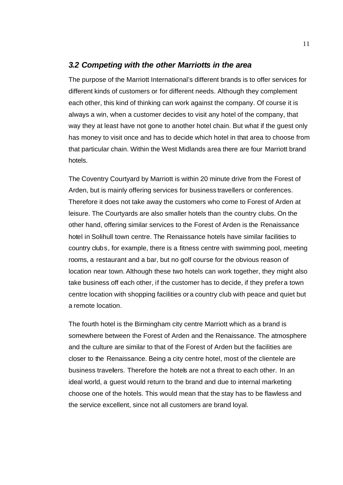#### *3.2 Competing with the other Marriotts in the area*

The purpose of the Marriott International's different brands is to offer services for different kinds of customers or for different needs. Although they complement each other, this kind of thinking can work against the company. Of course it is always a win, when a customer decides to visit any hotel of the company, that way they at least have not gone to another hotel chain. But what if the guest only has money to visit once and has to decide which hotel in that area to choose from that particular chain. Within the West Midlands area there are four Marriott brand hotels.

The Coventry Courtyard by Marriott is within 20 minute drive from the Forest of Arden, but is mainly offering services for business travellers or conferences. Therefore it does not take away the customers who come to Forest of Arden at leisure. The Courtyards are also smaller hotels than the country clubs. On the other hand, offering similar services to the Forest of Arden is the Renaissance hotel in Solihull town centre. The Renaissance hotels have similar facilities to country clubs, for example, there is a fitness centre with swimming pool, meeting rooms, a restaurant and a bar, but no golf course for the obvious reason of location near town. Although these two hotels can work together, they might also take business off each other, if the customer has to decide, if they prefer a town centre location with shopping facilities or a country club with peace and quiet but a remote location.

The fourth hotel is the Birmingham city centre Marriott which as a brand is somewhere between the Forest of Arden and the Renaissance. The atmosphere and the culture are similar to that of the Forest of Arden but the facilities are closer to the Renaissance. Being a city centre hotel, most of the clientele are business travelers. Therefore the hotels are not a threat to each other. In an ideal world, a guest would return to the brand and due to internal marketing choose one of the hotels. This would mean that the stay has to be flawless and the service excellent, since not all customers are brand loyal.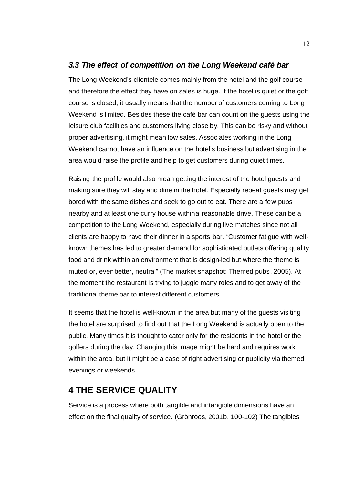#### *3.3 The effect of competition on the Long Weekend café bar*

The Long Weekend's clientele comes mainly from the hotel and the golf course and therefore the effect they have on sales is huge. If the hotel is quiet or the golf course is closed, it usually means that the number of customers coming to Long Weekend is limited. Besides these the café bar can count on the guests using the leisure club facilities and customers living close by. This can be risky and without proper advertising, it might mean low sales. Associates working in the Long Weekend cannot have an influence on the hotel's business but advertising in the area would raise the profile and help to get customers during quiet times.

Raising the profile would also mean getting the interest of the hotel guests and making sure they will stay and dine in the hotel. Especially repeat guests may get bored with the same dishes and seek to go out to eat. There are a few pubs nearby and at least one curry house withina reasonable drive. These can be a competition to the Long Weekend, especially during live matches since not all clients are happy to have their dinner in a sports bar. "Customer fatigue with wellknown themes has led to greater demand for sophisticated outlets offering quality food and drink within an environment that is design-led but where the theme is muted or, even better, neutral" (The market snapshot: Themed pubs, 2005). At the moment the restaurant is trying to juggle many roles and to get away of the traditional theme bar to interest different customers.

It seems that the hotel is well-known in the area but many of the guests visiting the hotel are surprised to find out that the Long Weekend is actually open to the public. Many times it is thought to cater only for the residents in the hotel or the golfers during the day. Changing this image might be hard and requires work within the area, but it might be a case of right advertising or publicity via themed evenings or weekends.

## **4 THE SERVICE QUALITY**

Service is a process where both tangible and intangible dimensions have an effect on the final quality of service. (Grönroos, 2001b, 100-102) The tangibles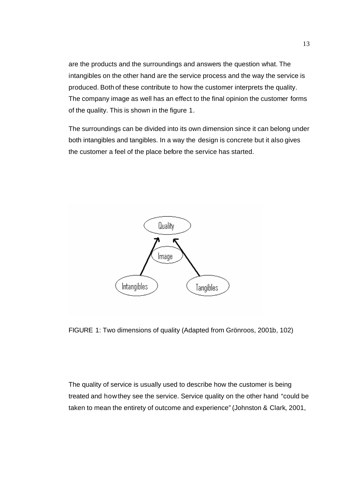are the products and the surroundings and answers the question what. The intangibles on the other hand are the service process and the way the service is produced. Both of these contribute to how the customer interprets the quality. The company image as well has an effect to the final opinion the customer forms of the quality. This is shown in the figure 1.

The surroundings can be divided into its own dimension since it can belong under both intangibles and tangibles. In a way the design is concrete but it also gives the customer a feel of the place before the service has started.



FIGURE 1: Two dimensions of quality (Adapted from Grönroos, 2001b, 102)

The quality of service is usually used to describe how the customer is being treated and how they see the service. Service quality on the other hand "could be taken to mean the entirety of outcome and experience" (Johnston & Clark, 2001,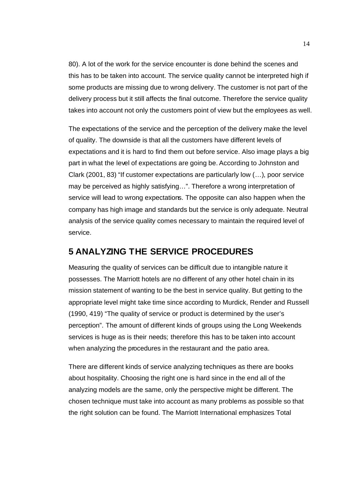80). A lot of the work for the service encounter is done behind the scenes and this has to be taken into account. The service quality cannot be interpreted high if some products are missing due to wrong delivery. The customer is not part of the delivery process but it still affects the final outcome. Therefore the service quality takes into account not only the customers point of view but the employees as well.

The expectations of the service and the perception of the delivery make the level of quality. The downside is that all the customers have different levels of expectations and it is hard to find them out before service. Also image plays a big part in what the level of expectations are going be. According to Johnston and Clark (2001, 83) "If customer expectations are particularly low (…), poor service may be perceived as highly satisfying…". Therefore a wrong interpretation of service will lead to wrong expectations. The opposite can also happen when the company has high image and standards but the service is only adequate. Neutral analysis of the service quality comes necessary to maintain the required level of service.

## **5 ANALYZING THE SERVICE PROCEDURES**

Measuring the quality of services can be difficult due to intangible nature it possesses. The Marriott hotels are no different of any other hotel chain in its mission statement of wanting to be the best in service quality. But getting to the appropriate level might take time since according to Murdick, Render and Russell (1990, 419) "The quality of service or product is determined by the user's perception". The amount of different kinds of groups using the Long Weekends services is huge as is their needs; therefore this has to be taken into account when analyzing the procedures in the restaurant and the patio area.

There are different kinds of service analyzing techniques as there are books about hospitality. Choosing the right one is hard since in the end all of the analyzing models are the same, only the perspective might be different. The chosen technique must take into account as many problems as possible so that the right solution can be found. The Marriott International emphasizes Total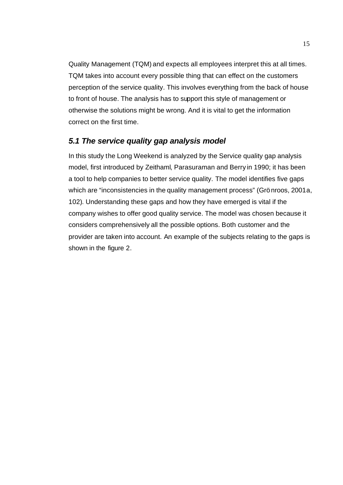Quality Management (TQM) and expects all employees interpret this at all times. TQM takes into account every possible thing that can effect on the customers perception of the service quality. This involves everything from the back of house to front of house. The analysis has to support this style of management or otherwise the solutions might be wrong. And it is vital to get the information correct on the first time.

## *5.1 The service quality gap analysis model*

In this study the Long Weekend is analyzed by the Service quality gap analysis model, first introduced by Zeithaml, Parasuraman and Berry in 1990; it has been a tool to help companies to better service quality. The model identifies five gaps which are "inconsistencies in the quality management process" (Grönroos, 2001a, 102). Understanding these gaps and how they have emerged is vital if the company wishes to offer good quality service. The model was chosen because it considers comprehensively all the possible options. Both customer and the provider are taken into account. An example of the subjects relating to the gaps is shown in the figure 2.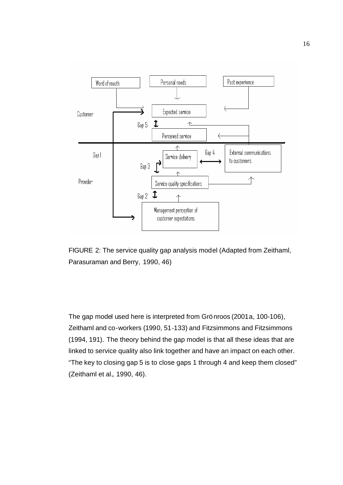

FIGURE 2: The service quality gap analysis model (Adapted from Zeithaml, Parasuraman and Berry, 1990, 46)

The gap model used here is interpreted from Grönroos (2001a, 100-106), Zeithaml and co-workers (1990, 51-133) and Fitzsimmons and Fitzsimmons (1994, 191). The theory behind the gap model is that all these ideas that are linked to service quality also link together and have an impact on each other. "The key to closing gap 5 is to close gaps 1 through 4 and keep them closed" (Zeithaml et al., 1990, 46).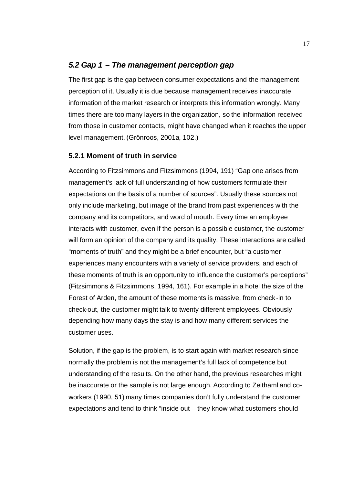#### *5.2 Gap 1 – The management perception gap*

The first gap is the gap between consumer expectations and the management perception of it. Usually it is due because management receives inaccurate information of the market research or interprets this information wrongly. Many times there are too many layers in the organization, so the information received from those in customer contacts, might have changed when it reaches the upper level management. (Grönroos, 2001a, 102.)

#### **5.2.1 Moment of truth in service**

According to Fitzsimmons and Fitzsimmons (1994, 191) "Gap one arises from management's lack of full understanding of how customers formulate their expectations on the basis of a number of sources". Usually these sources not only include marketing, but image of the brand from past experiences with the company and its competitors, and word of mouth. Every time an employee interacts with customer, even if the person is a possible customer, the customer will form an opinion of the company and its quality. These interactions are called "moments of truth" and they might be a brief encounter, but "a customer experiences many encounters with a variety of service providers, and each of these moments of truth is an opportunity to influence the customer's perceptions" (Fitzsimmons & Fitzsimmons, 1994, 161). For example in a hotel the size of the Forest of Arden, the amount of these moments is massive, from check -in to check-out, the customer might talk to twenty different employees. Obviously depending how many days the stay is and how many different services the customer uses.

Solution, if the gap is the problem, is to start again with market research since normally the problem is not the management's full lack of competence but understanding of the results. On the other hand, the previous researches might be inaccurate or the sample is not large enough. According to Zeithaml and coworkers (1990, 51) many times companies don't fully understand the customer expectations and tend to think "inside out – they know what customers should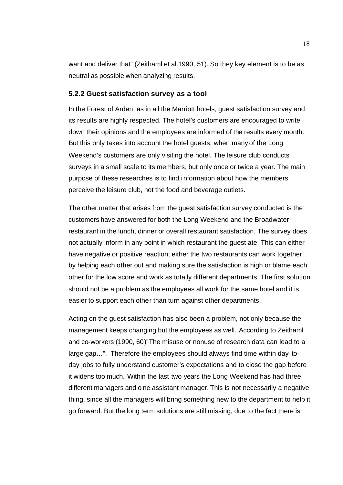want and deliver that" (Zeithaml et al.1990, 51). So they key element is to be as neutral as possible when analyzing results.

#### **5.2.2 Guest satisfaction survey as a tool**

In the Forest of Arden, as in all the Marriott hotels, guest satisfaction survey and its results are highly respected. The hotel's customers are encouraged to write down their opinions and the employees are informed of the results every month. But this only takes into account the hotel guests, when many of the Long Weekend's customers are only visiting the hotel. The leisure club conducts surveys in a small scale to its members, but only once or twice a year. The main purpose of these researches is to find information about how the members perceive the leisure club, not the food and beverage outlets.

The other matter that arises from the guest satisfaction survey conducted is the customers have answered for both the Long Weekend and the Broadwater restaurant in the lunch, dinner or overall restaurant satisfaction. The survey does not actually inform in any point in which restaurant the guest ate. This can either have negative or positive reaction; either the two restaurants can work together by helping each other out and making sure the satisfaction is high or blame each other for the low score and work as totally different departments. The first solution should not be a problem as the employees all work for the same hotel and it is easier to support each other than turn against other departments.

Acting on the guest satisfaction has also been a problem, not only because the management keeps changing but the employees as well. According to Zeithaml and co-workers (1990, 60)"The misuse or nonuse of research data can lead to a large gap…". Therefore the employees should always find time within day- today jobs to fully understand customer's expectations and to close the gap before it widens too much. Within the last two years the Long Weekend has had three different managers and o ne assistant manager. This is not necessarily a negative thing, since all the managers will bring something new to the department to help it go forward. But the long term solutions are still missing, due to the fact there is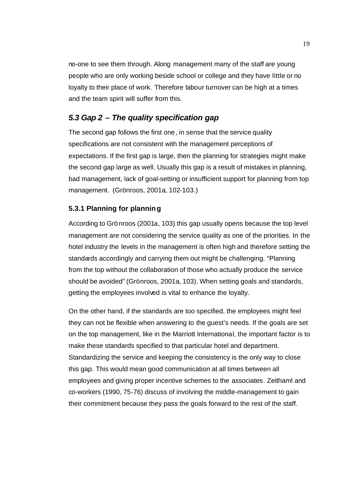no-one to see them through. Along management many of the staff are young people who are only working beside school or college and they have little or no loyalty to their place of work. Therefore labour turnover can be high at a times and the team spirit will suffer from this.

#### *5.3 Gap 2 – The quality specification gap*

The second gap follows the first one, in sense that the service quality specifications are not consistent with the management perceptions of expectations. If the first gap is large, then the planning for strategies might make the second gap large as well. Usually this gap is a result of mistakes in planning, bad management, lack of goal-setting or insufficient support for planning from top management. (Grönroos, 2001a, 102-103.)

#### **5.3.1 Planning for planning**

According to Grönroos (2001a, 103) this gap usually opens because the top level management are not considering the service quality as one of the priorities. In the hotel industry the levels in the management is often high and therefore setting the standards accordingly and carrying them out might be challenging. "Planning from the top without the collaboration of those who actually produce the service should be avoided" (Grönroos, 2001a, 103). When setting goals and standards, getting the employees involved is vital to enhance the loyalty.

On the other hand, if the standards are too specified, the employees might feel they can not be flexible when answering to the guest's needs. If the goals are set on the top management, like in the Marriott International, the important factor is to make these standards specified to that particular hotel and department. Standardizing the service and keeping the consistency is the only way to close this gap. This would mean good communication at all times between all employees and giving proper incentive schemes to the associates. Zeithaml and co-workers (1990, 75-76) discuss of involving the middle-management to gain their commitment because they pass the goals forward to the rest of the staff.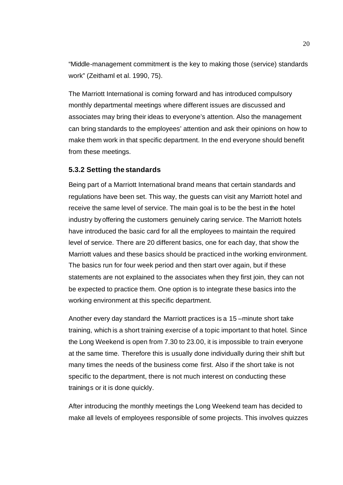"Middle-management commitment is the key to making those (service) standards work" (Zeithaml et al. 1990, 75).

The Marriott International is coming forward and has introduced compulsory monthly departmental meetings where different issues are discussed and associates may bring their ideas to everyone's attention. Also the management can bring standards to the employees' attention and ask their opinions on how to make them work in that specific department. In the end everyone should benefit from these meetings.

#### **5.3.2 Setting the standards**

Being part of a Marriott International brand means that certain standards and regulations have been set. This way, the guests can visit any Marriott hotel and receive the same level of service. The main goal is to be the best in the hotel industry by offering the customers genuinely caring service. The Marriott hotels have introduced the basic card for all the employees to maintain the required level of service. There are 20 different basics, one for each day, that show the Marriott values and these basics should be practiced in the working environment. The basics run for four week period and then start over again, but if these statements are not explained to the associates when they first join, they can not be expected to practice them. One option is to integrate these basics into the working environment at this specific department.

Another every day standard the Marriott practices is a 15 –minute short take training, which is a short training exercise of a topic important to that hotel. Since the Long Weekend is open from 7.30 to 23.00, it is impossible to train everyone at the same time. Therefore this is usually done individually during their shift but many times the needs of the business come first. Also if the short take is not specific to the department, there is not much interest on conducting these trainings or it is done quickly.

After introducing the monthly meetings the Long Weekend team has decided to make all levels of employees responsible of some projects. This involves quizzes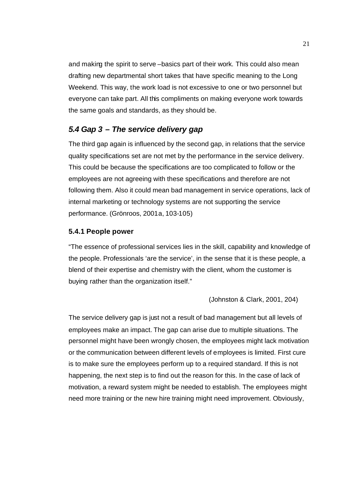and making the spirit to serve –basics part of their work. This could also mean drafting new departmental short takes that have specific meaning to the Long Weekend. This way, the work load is not excessive to one or two personnel but everyone can take part. All this compliments on making everyone work towards the same goals and standards, as they should be.

#### *5.4 Gap 3 – The service delivery gap*

The third gap again is influenced by the second gap, in relations that the service quality specifications set are not met by the performance in the service delivery. This could be because the specifications are too complicated to follow or the employees are not agreeing with these specifications and therefore are not following them. Also it could mean bad management in service operations, lack of internal marketing or technology systems are not supporting the service performance. (Grönroos, 2001a, 103-105)

#### **5.4.1 People power**

"The essence of professional services lies in the skill, capability and knowledge of the people. Professionals 'are the service', in the sense that it is these people, a blend of their expertise and chemistry with the client, whom the customer is buying rather than the organization itself."

(Johnston & Clark, 2001, 204)

The service delivery gap is just not a result of bad management but all levels of employees make an impact. The gap can arise due to multiple situations. The personnel might have been wrongly chosen, the employees might lack motivation or the communication between different levels of employees is limited. First cure is to make sure the employees perform up to a required standard. If this is not happening, the next step is to find out the reason for this. In the case of lack of motivation, a reward system might be needed to establish. The employees might need more training or the new hire training might need improvement. Obviously,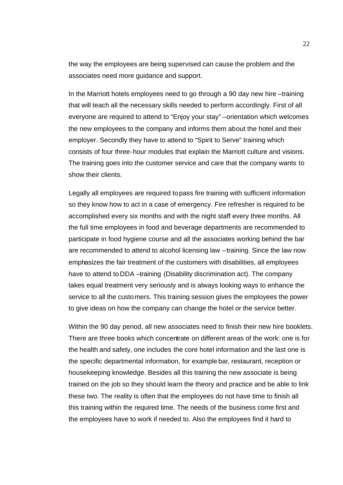the way the employees are being supervised can cause the problem and the associates need more guidance and support.

In the Marriott hotels employees need to go through a 90 day new hire –training that will teach all the necessary skills needed to perform accordingly. First of all everyone are required to attend to "Enjoy your stay" –orientation which welcomes the new employees to the company and informs them about the hotel and their employer. Secondly they have to attend to "Spirit to Serve" training which consists of four three-hour modules that explain the Marriott culture and visions. The training goes into the customer service and care that the company wants to show their clients.

Legally all employees are required to pass fire training with sufficient information so they know how to act in a case of emergency. Fire refresher is required to be accomplished every six months and with the night staff every three months. All the full time employees in food and beverage departments are recommended to participate in food hygiene course and all the associates working behind the bar are recommended to attend to alcohol licensing law –training. Since the law now emphasizes the fair treatment of the customers with disabilities, all employees have to attend to DDA –training (Disability discrimination act). The company takes equal treatment very seriously and is always looking ways to enhance the service to all the customers. This training session gives the employees the power to give ideas on how the company can change the hotel or the service better.

Within the 90 day period, all new associates need to finish their new hire booklets. There are three books which concentrate on different areas of the work: one is for the health and safety, one includes the core hotel information and the last one is the specific departmental information, for example bar, restaurant, reception or housekeeping knowledge. Besides all this training the new associate is being trained on the job so they should learn the theory and practice and be able to link these two. The reality is often that the employees do not have time to finish all this training within the required time. The needs of the business come first and the employees have to work if needed to. Also the employees find it hard to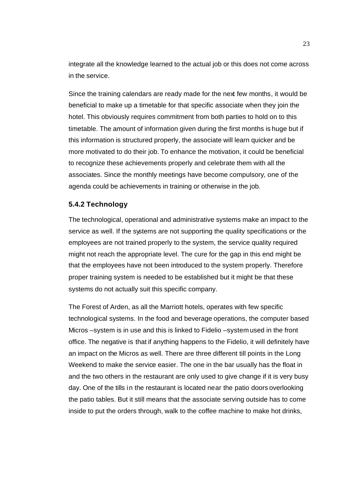integrate all the knowledge learned to the actual job or this does not come across in the service.

Since the training calendars are ready made for the next few months, it would be beneficial to make up a timetable for that specific associate when they join the hotel. This obviously requires commitment from both parties to hold on to this timetable. The amount of information given during the first months is huge but if this information is structured properly, the associate will learn quicker and be more motivated to do their job. To enhance the motivation, it could be beneficial to recognize these achievements properly and celebrate them with all the associates. Since the monthly meetings have become compulsory, one of the agenda could be achievements in training or otherwise in the job.

#### **5.4.2 Technology**

The technological, operational and administrative systems make an impact to the service as well. If the systems are not supporting the quality specifications or the employees are not trained properly to the system, the service quality required might not reach the appropriate level. The cure for the gap in this end might be that the employees have not been introduced to the system properly. Therefore proper training system is needed to be established but it might be that these systems do not actually suit this specific company.

The Forest of Arden, as all the Marriott hotels, operates with few specific technological systems. In the food and beverage operations, the computer based Micros –system is in use and this is linked to Fidelio –system used in the front office. The negative is that if anything happens to the Fidelio, it will definitely have an impact on the Micros as well. There are three different till points in the Long Weekend to make the service easier. The one in the bar usually has the float in and the two others in the restaurant are only used to give change if it is very busy day. One of the tills in the restaurant is located near the patio doors overlooking the patio tables. But it still means that the associate serving outside has to come inside to put the orders through, walk to the coffee machine to make hot drinks,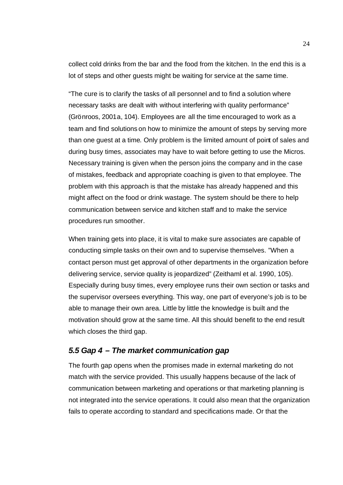collect cold drinks from the bar and the food from the kitchen. In the end this is a lot of steps and other guests might be waiting for service at the same time.

"The cure is to clarify the tasks of all personnel and to find a solution where necessary tasks are dealt with without interfering with quality performance" (Grönroos, 2001a, 104). Employees are all the time encouraged to work as a team and find solutions on how to minimize the amount of steps by serving more than one guest at a time. Only problem is the limited amount of point of sales and during busy times, associates may have to wait before getting to use the Micros. Necessary training is given when the person joins the company and in the case of mistakes, feedback and appropriate coaching is given to that employee. The problem with this approach is that the mistake has already happened and this might affect on the food or drink wastage. The system should be there to help communication between service and kitchen staff and to make the service procedures run smoother.

When training gets into place, it is vital to make sure associates are capable of conducting simple tasks on their own and to supervise themselves. "When a contact person must get approval of other departments in the organization before delivering service, service quality is jeopardized" (Zeithaml et al. 1990, 105). Especially during busy times, every employee runs their own section or tasks and the supervisor oversees everything. This way, one part of everyone's job is to be able to manage their own area. Little by little the knowledge is built and the motivation should grow at the same time. All this should benefit to the end result which closes the third gap.

#### *5.5 Gap 4 – The market communication gap*

The fourth gap opens when the promises made in external marketing do not match with the service provided. This usually happens because of the lack of communication between marketing and operations or that marketing planning is not integrated into the service operations. It could also mean that the organization fails to operate according to standard and specifications made. Or that the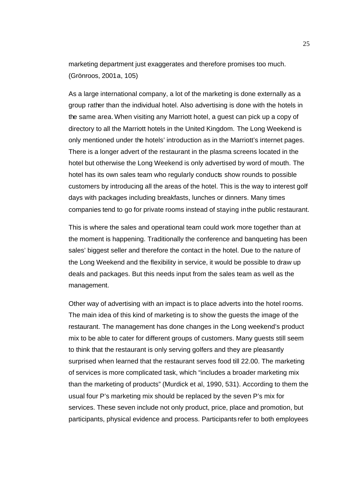marketing department just exaggerates and therefore promises too much. (Grönroos, 2001a, 105)

As a large international company, a lot of the marketing is done externally as a group rather than the individual hotel. Also advertising is done with the hotels in the same area. When visiting any Marriott hotel, a guest can pick up a copy of directory to all the Marriott hotels in the United Kingdom. The Long Weekend is only mentioned under the hotels' introduction as in the Marriott's internet pages. There is a longer advert of the restaurant in the plasma screens located in the hotel but otherwise the Long Weekend is only advertised by word of mouth. The hotel has its own sales team who regularly conducts show rounds to possible customers by introducing all the areas of the hotel. This is the way to interest golf days with packages including breakfasts, lunches or dinners. Many times companies tend to go for private rooms instead of staying in the public restaurant.

This is where the sales and operational team could work more together than at the moment is happening. Traditionally the conference and banqueting has been sales' biggest seller and therefore the contact in the hotel. Due to the nature of the Long Weekend and the flexibility in service, it would be possible to draw up deals and packages. But this needs input from the sales team as well as the management.

Other way of advertising with an impact is to place adverts into the hotel rooms. The main idea of this kind of marketing is to show the guests the image of the restaurant. The management has done changes in the Long weekend's product mix to be able to cater for different groups of customers. Many guests still seem to think that the restaurant is only serving golfers and they are pleasantly surprised when learned that the restaurant serves food till 22.00. The marketing of services is more complicated task, which "includes a broader marketing mix than the marketing of products" (Murdick et al, 1990, 531). According to them the usual four P's marketing mix should be replaced by the seven P's mix for services. These seven include not only product, price, place and promotion, but participants, physical evidence and process. Participants refer to both employees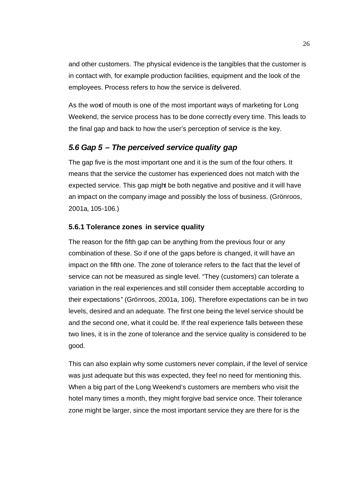and other customers. The physical evidence is the tangibles that the customer is in contact with, for example production facilities, equipment and the look of the employees. Process refers to how the service is delivered.

As the word of mouth is one of the most important ways of marketing for Long Weekend, the service process has to be done correctly every time. This leads to the final gap and back to how the user's perception of service is the key.

#### *5.6 Gap 5 – The perceived service quality gap*

The gap five is the most important one and it is the sum of the four others. It means that the service the customer has experienced does not match with the expected service. This gap might be both negative and positive and it will have an impact on the company image and possibly the loss of business. (Grönroos, 2001a, 105-106.)

#### **5.6.1 Tolerance zones in service quality**

The reason for the fifth gap can be anything from the previous four or any combination of these. So if one of the gaps before is changed, it will have an impact on the fifth one. The zone of tolerance refers to the fact that the level of service can not be measured as single level. "They (customers) can tolerate a variation in the real experiences and still consider them acceptable according to their expectations" (Grönroos, 2001a, 106). Therefore expectations can be in two levels, desired and an adequate. The first one being the level service should be and the second one, what it could be. If the real experience falls between these two lines, it is in the zone of tolerance and the service quality is considered to be good.

This can also explain why some customers never complain, if the level of service was just adequate but this was expected, they feel no need for mentioning this. When a big part of the Long Weekend's customers are members who visit the hotel many times a month, they might forgive bad service once. Their tolerance zone might be larger, since the most important service they are there for is the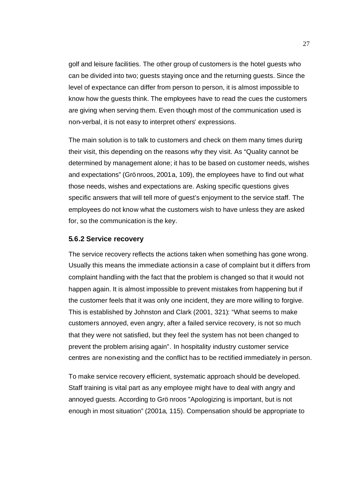golf and leisure facilities. The other group of customers is the hotel guests who can be divided into two; guests staying once and the returning guests. Since the level of expectance can differ from person to person, it is almost impossible to know how the guests think. The employees have to read the cues the customers are giving when serving them. Even though most of the communication used is non-verbal, it is not easy to interpret others' expressions.

The main solution is to talk to customers and check on them many times during their visit, this depending on the reasons why they visit. As "Quality cannot be determined by management alone; it has to be based on customer needs, wishes and expectations" (Grönroos, 2001a, 109), the employees have to find out what those needs, wishes and expectations are. Asking specific questions gives specific answers that will tell more of guest's enjoyment to the service staff. The employees do not know what the customers wish to have unless they are asked for, so the communication is the key.

#### **5.6.2 Service recovery**

The service recovery reflects the actions taken when something has gone wrong. Usually this means the immediate actions in a case of complaint but it differs from complaint handling with the fact that the problem is changed so that it would not happen again. It is almost impossible to prevent mistakes from happening but if the customer feels that it was only one incident, they are more willing to forgive. This is established by Johnston and Clark (2001, 321): "What seems to make customers annoyed, even angry, after a failed service recovery, is not so much that they were not satisfied, but they feel the system has not been changed to prevent the problem arising again". In hospitality industry customer service centres are non-existing and the conflict has to be rectified immediately in person.

To make service recovery efficient, systematic approach should be developed. Staff training is vital part as any employee might have to deal with angry and annoyed guests. According to Grö nroos "Apologizing is important, but is not enough in most situation" (2001a, 115). Compensation should be appropriate to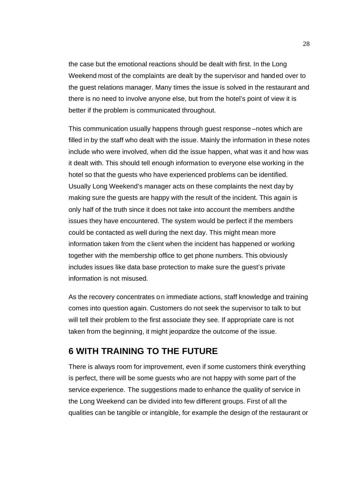the case but the emotional reactions should be dealt with first. In the Long Weekend most of the complaints are dealt by the supervisor and handed over to the guest relations manager. Many times the issue is solved in the restaurant and there is no need to involve anyone else, but from the hotel's point of view it is better if the problem is communicated throughout.

This communication usually happens through guest response –notes which are filled in by the staff who dealt with the issue. Mainly the information in these notes include who were involved, when did the issue happen, what was it and how was it dealt with. This should tell enough information to everyone else working in the hotel so that the guests who have experienced problems can be identified. Usually Long Weekend's manager acts on these complaints the next day by making sure the guests are happy with the result of the incident. This again is only half of the truth since it does not take into account the members and the issues they have encountered. The system would be perfect if the members could be contacted as well during the next day. This might mean more information taken from the client when the incident has happened or working together with the membership office to get phone numbers. This obviously includes issues like data base protection to make sure the guest's private information is not misused.

As the recovery concentrates on immediate actions, staff knowledge and training comes into question again. Customers do not seek the supervisor to talk to but will tell their problem to the first associate they see. If appropriate care is not taken from the beginning, it might jeopardize the outcome of the issue.

## **6 WITH TRAINING TO THE FUTURE**

There is always room for improvement, even if some customers think everything is perfect, there will be some guests who are not happy with some part of the service experience. The suggestions made to enhance the quality of service in the Long Weekend can be divided into few different groups. First of all the qualities can be tangible or intangible, for example the design of the restaurant or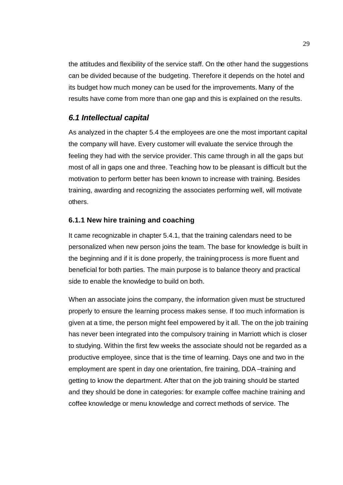the attitudes and flexibility of the service staff. On the other hand the suggestions can be divided because of the budgeting. Therefore it depends on the hotel and its budget how much money can be used for the improvements. Many of the results have come from more than one gap and this is explained on the results.

#### *6.1 Intellectual capital*

As analyzed in the chapter 5.4 the employees are one the most important capital the company will have. Every customer will evaluate the service through the feeling they had with the service provider. This came through in all the gaps but most of all in gaps one and three. Teaching how to be pleasant is difficult but the motivation to perform better has been known to increase with training. Besides training, awarding and recognizing the associates performing well, will motivate others.

#### **6.1.1 New hire training and coaching**

It came recognizable in chapter 5.4.1, that the training calendars need to be personalized when new person joins the team. The base for knowledge is built in the beginning and if it is done properly, the training process is more fluent and beneficial for both parties. The main purpose is to balance theory and practical side to enable the knowledge to build on both.

When an associate joins the company, the information given must be structured properly to ensure the learning process makes sense. If too much information is given at a time, the person might feel empowered by it all. The on the job training has never been integrated into the compulsory training in Marriott which is closer to studying. Within the first few weeks the associate should not be regarded as a productive employee, since that is the time of learning. Days one and two in the employment are spent in day one orientation, fire training, DDA –training and getting to know the department. After that on the job training should be started and they should be done in categories: for example coffee machine training and coffee knowledge or menu knowledge and correct methods of service. The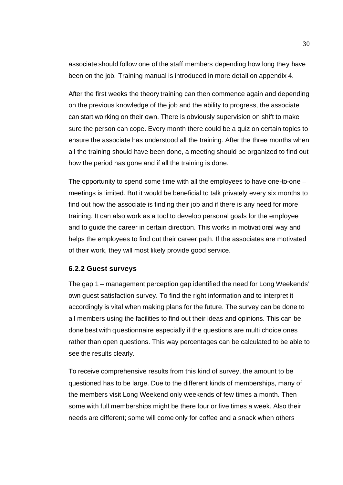associate should follow one of the staff members depending how long they have been on the job. Training manual is introduced in more detail on appendix 4.

After the first weeks the theory training can then commence again and depending on the previous knowledge of the job and the ability to progress, the associate can start wo rking on their own. There is obviously supervision on shift to make sure the person can cope. Every month there could be a quiz on certain topics to ensure the associate has understood all the training. After the three months when all the training should have been done, a meeting should be organized to find out how the period has gone and if all the training is done.

The opportunity to spend some time with all the employees to have one-to-one – meetings is limited. But it would be beneficial to talk privately every six months to find out how the associate is finding their job and if there is any need for more training. It can also work as a tool to develop personal goals for the employee and to guide the career in certain direction. This works in motivational way and helps the employees to find out their career path. If the associates are motivated of their work, they will most likely provide good service.

#### **6.2.2 Guest surveys**

The gap 1 – management perception gap identified the need for Long Weekends' own guest satisfaction survey. To find the right information and to interpret it accordingly is vital when making plans for the future. The survey can be done to all members using the facilities to find out their ideas and opinions. This can be done best with questionnaire especially if the questions are multi choice ones rather than open questions. This way percentages can be calculated to be able to see the results clearly.

To receive comprehensive results from this kind of survey, the amount to be questioned has to be large. Due to the different kinds of memberships, many of the members visit Long Weekend only weekends of few times a month. Then some with full memberships might be there four or five times a week. Also their needs are different; some will come only for coffee and a snack when others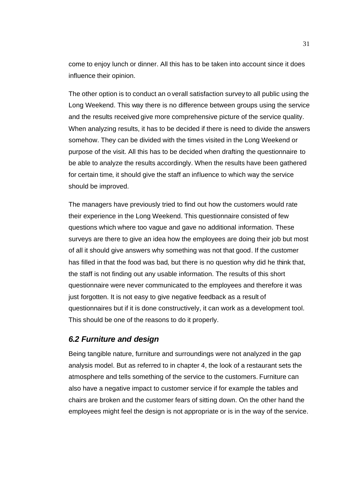come to enjoy lunch or dinner. All this has to be taken into account since it does influence their opinion.

The other option is to conduct an overall satisfaction survey to all public using the Long Weekend. This way there is no difference between groups using the service and the results received give more comprehensive picture of the service quality. When analyzing results, it has to be decided if there is need to divide the answers somehow. They can be divided with the times visited in the Long Weekend or purpose of the visit. All this has to be decided when drafting the questionnaire to be able to analyze the results accordingly. When the results have been gathered for certain time, it should give the staff an influence to which way the service should be improved.

The managers have previously tried to find out how the customers would rate their experience in the Long Weekend. This questionnaire consisted of few questions which where too vague and gave no additional information. These surveys are there to give an idea how the employees are doing their job but most of all it should give answers why something was not that good. If the customer has filled in that the food was bad, but there is no question why did he think that, the staff is not finding out any usable information. The results of this short questionnaire were never communicated to the employees and therefore it was just forgotten. It is not easy to give negative feedback as a result of questionnaires but if it is done constructively, it can work as a development tool. This should be one of the reasons to do it properly.

#### *6.2 Furniture and design*

Being tangible nature, furniture and surroundings were not analyzed in the gap analysis model. But as referred to in chapter 4, the look of a restaurant sets the atmosphere and tells something of the service to the customers. Furniture can also have a negative impact to customer service if for example the tables and chairs are broken and the customer fears of sitting down. On the other hand the employees might feel the design is not appropriate or is in the way of the service.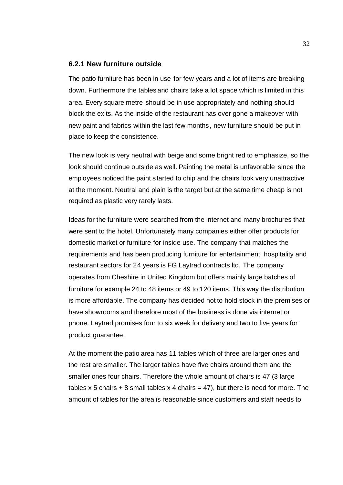#### **6.2.1 New furniture outside**

The patio furniture has been in use for few years and a lot of items are breaking down. Furthermore the tables and chairs take a lot space which is limited in this area. Every square metre should be in use appropriately and nothing should block the exits. As the inside of the restaurant has over gone a makeover with new paint and fabrics within the last few months, new furniture should be put in place to keep the consistence.

The new look is very neutral with beige and some bright red to emphasize, so the look should continue outside as well. Painting the metal is unfavorable since the employees noticed the paint s tarted to chip and the chairs look very unattractive at the moment. Neutral and plain is the target but at the same time cheap is not required as plastic very rarely lasts.

Ideas for the furniture were searched from the internet and many brochures that were sent to the hotel. Unfortunately many companies either offer products for domestic market or furniture for inside use. The company that matches the requirements and has been producing furniture for entertainment, hospitality and restaurant sectors for 24 years is FG Laytrad contracts ltd. The company operates from Cheshire in United Kingdom but offers mainly large batches of furniture for example 24 to 48 items or 49 to 120 items. This way the distribution is more affordable. The company has decided not to hold stock in the premises or have showrooms and therefore most of the business is done via internet or phone. Laytrad promises four to six week for delivery and two to five years for product guarantee.

At the moment the patio area has 11 tables which of three are larger ones and the rest are smaller. The larger tables have five chairs around them and the smaller ones four chairs. Therefore the whole amount of chairs is 47 (3 large tables x 5 chairs  $+ 8$  small tables x 4 chairs = 47), but there is need for more. The amount of tables for the area is reasonable since customers and staff needs to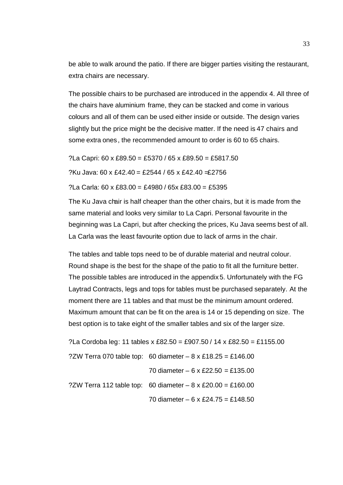be able to walk around the patio. If there are bigger parties visiting the restaurant, extra chairs are necessary.

The possible chairs to be purchased are introduced in the appendix 4. All three of the chairs have aluminium frame, they can be stacked and come in various colours and all of them can be used either inside or outside. The design varies slightly but the price might be the decisive matter. If the need is 47 chairs and some extra ones, the recommended amount to order is 60 to 65 chairs.

?La Capri: 60 x £89.50 = £5370 / 65 x £89.50 = £5817.50

?Ku Java: 60 x £42.40 = £2544 / 65 x £42.40  $\pm$ 2756

?La Carla: 60 x £83.00 = £4980 / 65x £83.00 = £5395

The Ku Java chair is half cheaper than the other chairs, but it is made from the same material and looks very similar to La Capri. Personal favourite in the beginning was La Capri, but after checking the prices, Ku Java seems best of all. La Carla was the least favourite option due to lack of arms in the chair.

The tables and table tops need to be of durable material and neutral colour. Round shape is the best for the shape of the patio to fit all the furniture better. The possible tables are introduced in the appendix 5. Unfortunately with the FG Laytrad Contracts, legs and tops for tables must be purchased separately. At the moment there are 11 tables and that must be the minimum amount ordered. Maximum amount that can be fit on the area is 14 or 15 depending on size. The best option is to take eight of the smaller tables and six of the larger size.

| ?La Cordoba leg: 11 tables x £82.50 = £907.50 / 14 x £82.50 = £1155.00 |
|------------------------------------------------------------------------|
| ?ZW Terra 070 table top: 60 diameter – 8 x £18.25 = £146.00            |
| 70 diameter $-6 \times £22.50 = £135.00$                               |
| ?ZW Terra 112 table top: 60 diameter $-8 \times £20.00 = £160.00$      |
| 70 diameter – 6 x £24.75 = £148.50                                     |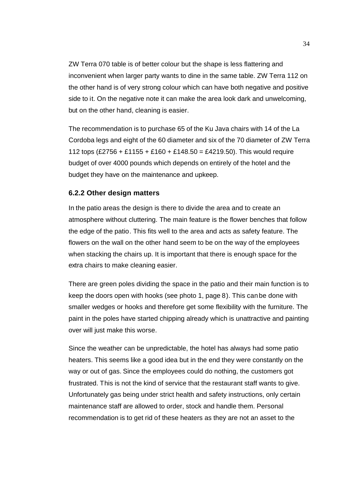ZW Terra 070 table is of better colour but the shape is less flattering and inconvenient when larger party wants to dine in the same table. ZW Terra 112 on the other hand is of very strong colour which can have both negative and positive side to it. On the negative note it can make the area look dark and unwelcoming, but on the other hand, cleaning is easier.

The recommendation is to purchase 65 of the Ku Java chairs with 14 of the La Cordoba legs and eight of the 60 diameter and six of the 70 diameter of ZW Terra 112 tops  $(E2756 + E1155 + E160 + E148.50 = E4219.50)$ . This would require budget of over 4000 pounds which depends on entirely of the hotel and the budget they have on the maintenance and upkeep.

#### **6.2.2 Other design matters**

In the patio areas the design is there to divide the area and to create an atmosphere without cluttering. The main feature is the flower benches that follow the edge of the patio. This fits well to the area and acts as safety feature. The flowers on the wall on the other hand seem to be on the way of the employees when stacking the chairs up. It is important that there is enough space for the extra chairs to make cleaning easier.

There are green poles dividing the space in the patio and their main function is to keep the doors open with hooks (see photo 1, page 8). This can be done with smaller wedges or hooks and therefore get some flexibility with the furniture. The paint in the poles have started chipping already which is unattractive and painting over will just make this worse.

Since the weather can be unpredictable, the hotel has always had some patio heaters. This seems like a good idea but in the end they were constantly on the way or out of gas. Since the employees could do nothing, the customers got frustrated. This is not the kind of service that the restaurant staff wants to give. Unfortunately gas being under strict health and safety instructions, only certain maintenance staff are allowed to order, stock and handle them. Personal recommendation is to get rid of these heaters as they are not an asset to the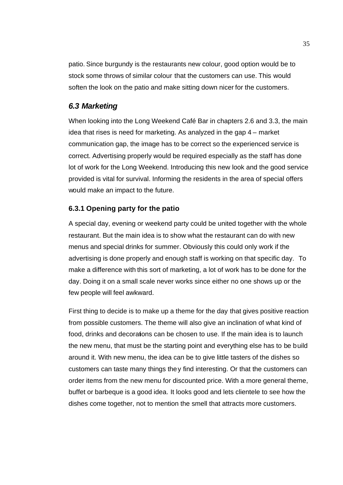patio. Since burgundy is the restaurants new colour, good option would be to stock some throws of similar colour that the customers can use. This would soften the look on the patio and make sitting down nicer for the customers.

#### *6.3 Marketing*

When looking into the Long Weekend Café Bar in chapters 2.6 and 3.3, the main idea that rises is need for marketing. As analyzed in the gap 4 – market communication gap, the image has to be correct so the experienced service is correct. Advertising properly would be required especially as the staff has done lot of work for the Long Weekend. Introducing this new look and the good service provided is vital for survival. Informing the residents in the area of special offers would make an impact to the future.

#### **6.3.1 Opening party for the patio**

A special day, evening or weekend party could be united together with the whole restaurant. But the main idea is to show what the restaurant can do with new menus and special drinks for summer. Obviously this could only work if the advertising is done properly and enough staff is working on that specific day. To make a difference with this sort of marketing, a lot of work has to be done for the day. Doing it on a small scale never works since either no one shows up or the few people will feel awkward.

First thing to decide is to make up a theme for the day that gives positive reaction from possible customers. The theme will also give an inclination of what kind of food, drinks and decorations can be chosen to use. If the main idea is to launch the new menu, that must be the starting point and everything else has to be build around it. With new menu, the idea can be to give little tasters of the dishes so customers can taste many things they find interesting. Or that the customers can order items from the new menu for discounted price. With a more general theme, buffet or barbeque is a good idea. It looks good and lets clientele to see how the dishes come together, not to mention the smell that attracts more customers.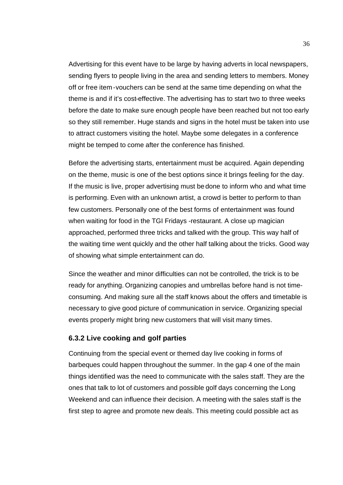Advertising for this event have to be large by having adverts in local newspapers, sending flyers to people living in the area and sending letters to members. Money off or free item -vouchers can be send at the same time depending on what the theme is and if it's cost-effective. The advertising has to start two to three weeks before the date to make sure enough people have been reached but not too early so they still remember. Huge stands and signs in the hotel must be taken into use to attract customers visiting the hotel. Maybe some delegates in a conference might be temped to come after the conference has finished.

Before the advertising starts, entertainment must be acquired. Again depending on the theme, music is one of the best options since it brings feeling for the day. If the music is live, proper advertising must be done to inform who and what time is performing. Even with an unknown artist, a crowd is better to perform to than few customers. Personally one of the best forms of entertainment was found when waiting for food in the TGI Fridays -restaurant. A close up magician approached, performed three tricks and talked with the group. This way half of the waiting time went quickly and the other half talking about the tricks. Good way of showing what simple entertainment can do.

Since the weather and minor difficulties can not be controlled, the trick is to be ready for anything. Organizing canopies and umbrellas before hand is not timeconsuming. And making sure all the staff knows about the offers and timetable is necessary to give good picture of communication in service. Organizing special events properly might bring new customers that will visit many times.

#### **6.3.2 Live cooking and golf parties**

Continuing from the special event or themed day live cooking in forms of barbeques could happen throughout the summer. In the gap 4 one of the main things identified was the need to communicate with the sales staff. They are the ones that talk to lot of customers and possible golf days concerning the Long Weekend and can influence their decision. A meeting with the sales staff is the first step to agree and promote new deals. This meeting could possible act as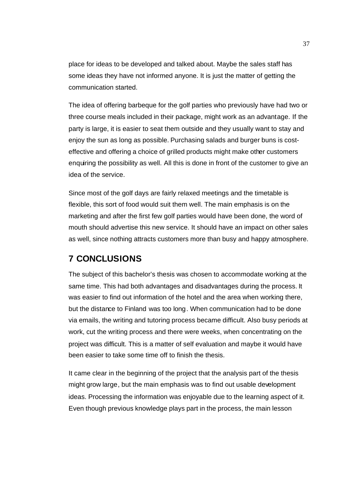place for ideas to be developed and talked about. Maybe the sales staff has some ideas they have not informed anyone. It is just the matter of getting the communication started.

The idea of offering barbeque for the golf parties who previously have had two or three course meals included in their package, might work as an advantage. If the party is large, it is easier to seat them outside and they usually want to stay and enjoy the sun as long as possible. Purchasing salads and burger buns is costeffective and offering a choice of grilled products might make other customers enquiring the possibility as well. All this is done in front of the customer to give an idea of the service.

Since most of the golf days are fairly relaxed meetings and the timetable is flexible, this sort of food would suit them well. The main emphasis is on the marketing and after the first few golf parties would have been done, the word of mouth should advertise this new service. It should have an impact on other sales as well, since nothing attracts customers more than busy and happy atmosphere.

## **7 CONCLUSIONS**

The subject of this bachelor's thesis was chosen to accommodate working at the same time. This had both advantages and disadvantages during the process. It was easier to find out information of the hotel and the area when working there, but the distance to Finland was too long. When communication had to be done via emails, the writing and tutoring process became difficult. Also busy periods at work, cut the writing process and there were weeks, when concentrating on the project was difficult. This is a matter of self evaluation and maybe it would have been easier to take some time off to finish the thesis.

It came clear in the beginning of the project that the analysis part of the thesis might grow large, but the main emphasis was to find out usable development ideas. Processing the information was enjoyable due to the learning aspect of it. Even though previous knowledge plays part in the process, the main lesson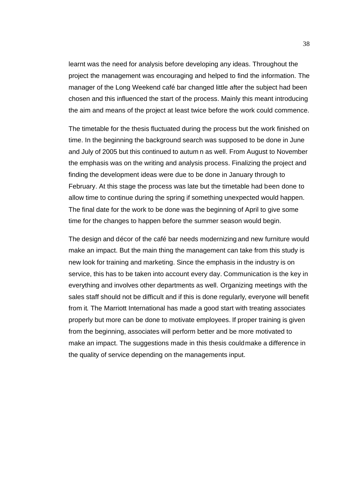learnt was the need for analysis before developing any ideas. Throughout the project the management was encouraging and helped to find the information. The manager of the Long Weekend café bar changed little after the subject had been chosen and this influenced the start of the process. Mainly this meant introducing the aim and means of the project at least twice before the work could commence.

The timetable for the thesis fluctuated during the process but the work finished on time. In the beginning the background search was supposed to be done in June and July of 2005 but this continued to autum n as well. From August to November the emphasis was on the writing and analysis process. Finalizing the project and finding the development ideas were due to be done in January through to February. At this stage the process was late but the timetable had been done to allow time to continue during the spring if something unexpected would happen. The final date for the work to be done was the beginning of April to give some time for the changes to happen before the summer season would begin.

The design and décor of the café bar needs modernizing and new furniture would make an impact. But the main thing the management can take from this study is new look for training and marketing. Since the emphasis in the industry is on service, this has to be taken into account every day. Communication is the key in everything and involves other departments as well. Organizing meetings with the sales staff should not be difficult and if this is done regularly, everyone will benefit from it. The Marriott International has made a good start with treating associates properly but more can be done to motivate employees. If proper training is given from the beginning, associates will perform better and be more motivated to make an impact. The suggestions made in this thesis could make a difference in the quality of service depending on the managements input.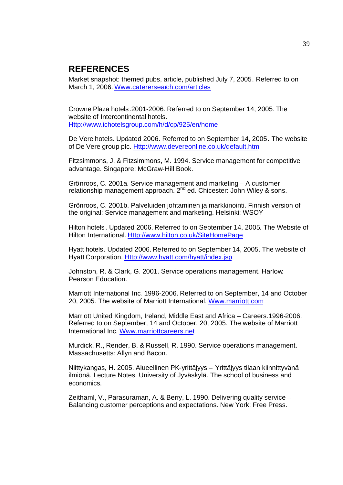## **REFERENCES**

Market snapshot: themed pubs, article, published July 7, 2005. Referred to on March 1, 2006. Www.caterersearch.com/articles

Crowne Plaza hotels.2001-2006. Referred to on September 14, 2005. The website of Intercontinental hotels. Http://www.ichotelsgroup.com/h/d/cp/925/en/home

De Vere hotels. Updated 2006. Referred to on September 14, 2005. The website of De Vere group plc. Http://www.devereonline.co.uk/default.htm

Fitzsimmons, J. & Fitzsimmons, M. 1994. Service management for competitive advantage. Singapore: McGraw-Hill Book.

Grönroos, C. 2001a. Service management and marketing – A customer relationship management approach. 2nd ed. Chicester: John Wiley & sons.

Grönroos, C. 2001b. Palveluiden johtaminen ja markkinointi. Finnish version of the original: Service management and marketing. Helsinki: WSOY

Hilton hotels. Updated 2006. Referred to on September 14, 2005. The Website of Hilton International. Http://www.hilton.co.uk/SiteHomePage

Hyatt hotels. Updated 2006. Referred to on September 14, 2005. The website of Hyatt Corporation. Http://www.hyatt.com/hyatt/index.jsp

Johnston, R. & Clark, G. 2001. Service operations management. Harlow: Pearson Education.

Marriott International Inc. 1996-2006. Referred to on September, 14 and October 20, 2005. The website of Marriott International. Www.marriott.com

Marriott United Kingdom, Ireland, Middle East and Africa – Careers.1996-2006. Referred to on September, 14 and October, 20, 2005. The website of Marriott International Inc. Www.marriottcareers.net

Murdick, R., Render, B. & Russell, R. 1990. Service operations management. Massachusetts: Allyn and Bacon.

Niittykangas, H. 2005. Alueellinen PK-yrittäjyys – Yrittäjyys tilaan kiinnittyvänä ilmiönä. Lecture Notes. University of Jyväskylä. The school of business and economics.

Zeithaml, V., Parasuraman, A. & Berry, L. 1990. Delivering quality service – Balancing customer perceptions and expectations. New York: Free Press.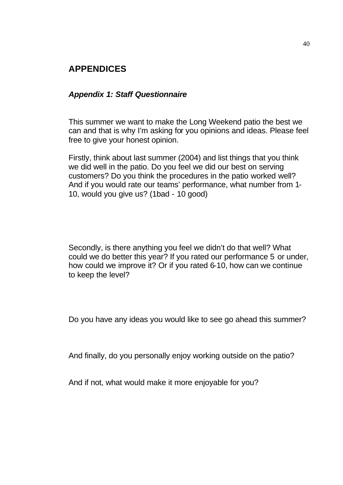## **APPENDICES**

#### *Appendix 1: Staff Questionnaire*

This summer we want to make the Long Weekend patio the best we can and that is why I'm asking for you opinions and ideas. Please feel free to give your honest opinion.

Firstly, think about last summer (2004) and list things that you think we did well in the patio. Do you feel we did our best on serving customers? Do you think the procedures in the patio worked well? And if you would rate our teams' performance, what number from 1- 10, would you give us? (1bad - 10 good)

Secondly, is there anything you feel we didn't do that well? What could we do better this year? If you rated our performance 5 or under, how could we improve it? Or if you rated 6-10, how can we continue to keep the level?

Do you have any ideas you would like to see go ahead this summer?

And finally, do you personally enjoy working outside on the patio?

And if not, what would make it more enjoyable for you?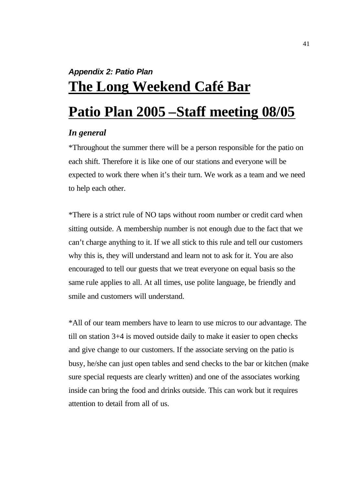# *Appendix 2: Patio Plan* **The Long Weekend Café Bar**

# **Patio Plan 2005 –Staff meeting 08/05**

### *In general*

\*Throughout the summer there will be a person responsible for the patio on each shift. Therefore it is like one of our stations and everyone will be expected to work there when it's their turn. We work as a team and we need to help each other.

\*There is a strict rule of NO taps without room number or credit card when sitting outside. A membership number is not enough due to the fact that we can't charge anything to it. If we all stick to this rule and tell our customers why this is, they will understand and learn not to ask for it. You are also encouraged to tell our guests that we treat everyone on equal basis so the same rule applies to all. At all times, use polite language, be friendly and smile and customers will understand.

\*All of our team members have to learn to use micros to our advantage. The till on station 3+4 is moved outside daily to make it easier to open checks and give change to our customers. If the associate serving on the patio is busy, he/she can just open tables and send checks to the bar or kitchen (make sure special requests are clearly written) and one of the associates working inside can bring the food and drinks outside. This can work but it requires attention to detail from all of us.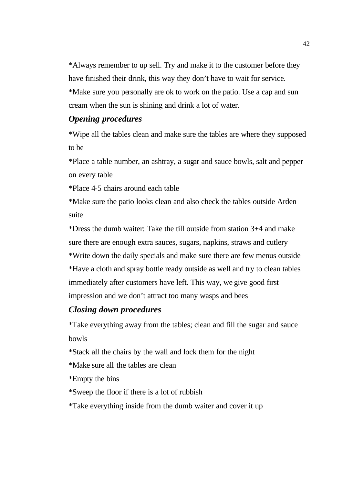\*Always remember to up sell. Try and make it to the customer before they have finished their drink, this way they don't have to wait for service. \*Make sure you personally are ok to work on the patio. Use a cap and sun cream when the sun is shining and drink a lot of water.

### *Opening procedures*

\*Wipe all the tables clean and make sure the tables are where they supposed to be

\*Place a table number, an ashtray, a sugar and sauce bowls, salt and pepper on every table

\*Place 4-5 chairs around each table

\*Make sure the patio looks clean and also check the tables outside Arden suite

\*Dress the dumb waiter: Take the till outside from station 3+4 and make sure there are enough extra sauces, sugars, napkins, straws and cutlery \*Write down the daily specials and make sure there are few menus outside \*Have a cloth and spray bottle ready outside as well and try to clean tables immediately after customers have left. This way, we give good first impression and we don't attract too many wasps and bees

## *Closing down procedures*

\*Take everything away from the tables; clean and fill the sugar and sauce bowls

\*Stack all the chairs by the wall and lock them for the night

\*Make sure all the tables are clean

\*Empty the bins

\*Sweep the floor if there is a lot of rubbish

\*Take everything inside from the dumb waiter and cover it up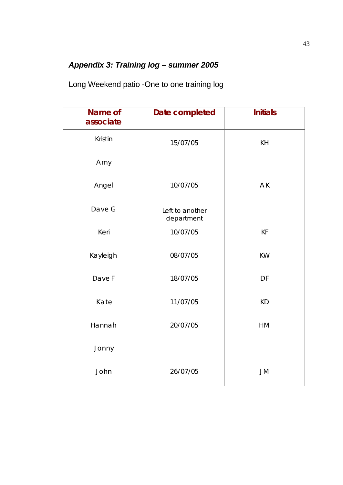## *Appendix 3: Training log – summer 2005*

Long Weekend patio -One to one training log

| Name of<br>associate | Date completed                | <b>Initials</b> |
|----------------------|-------------------------------|-----------------|
| Kristin              | 15/07/05                      | KH              |
| Amy                  |                               |                 |
| Angel                | 10/07/05                      | AK              |
| Dave G               | Left to another<br>department |                 |
| Keri                 | 10/07/05                      | KF              |
| Kayleigh             | 08/07/05                      | <b>KW</b>       |
| Dave F               | 18/07/05                      | DF              |
| Kate                 | 11/07/05                      | <b>KD</b>       |
| Hannah               | 20/07/05                      | HM              |
| Jonny                |                               |                 |
| John                 | 26/07/05                      | <b>JM</b>       |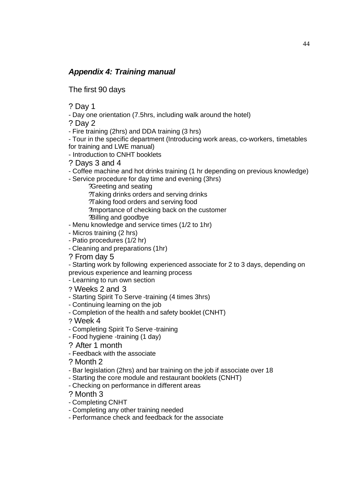## *Appendix 4: Training manual*

The first 90 days

? Day 1

- Day one orientation (7.5hrs, including walk around the hotel)

? Day 2

- Fire training (2hrs) and DDA training (3 hrs)

- Tour in the specific department (Introducing work areas, co-workers, timetables for training and LWE manual)

- Introduction to CNHT booklets

? Days 3 and 4

- Coffee machine and hot drinks training (1 hr depending on previous knowledge)

- Service procedure for day time and evening (3hrs)

?Greeting and seating ?Taking drinks orders and serving drinks ?Taking food orders and serving food ?Importance of checking back on the customer ?Billing and goodbye

- Menu knowledge and service times (1/2 to 1hr)

- Micros training (2 hrs)

- Patio procedures (1/2 hr)

- Cleaning and preparations (1hr)

? From day 5

- Starting work by following experienced associate for 2 to 3 days, depending on previous experience and learning process

- Learning to run own section

? Weeks 2 and 3

- Starting Spirit To Serve -training (4 times 3hrs)

- Continuing learning on the job

- Completion of the health and safety booklet (CNHT)

? Week 4

- Completing Spirit To Serve -training

- Food hygiene -training (1 day)

? After 1 month

- Feedback with the associate

? Month 2

- Bar legislation (2hrs) and bar training on the job if associate over 18

- Starting the core module and restaurant booklets (CNHT)

- Checking on performance in different areas

? Month 3

- Completing CNHT

- Completing any other training needed

- Performance check and feedback for the associate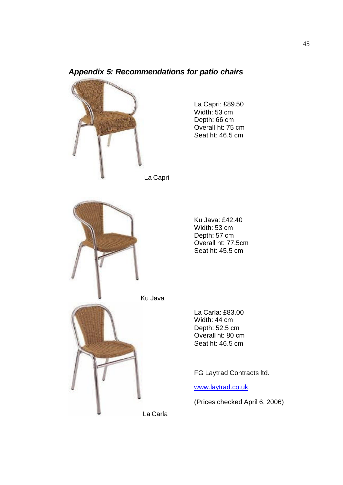

## *Appendix 5: Recommendations for patio chairs*